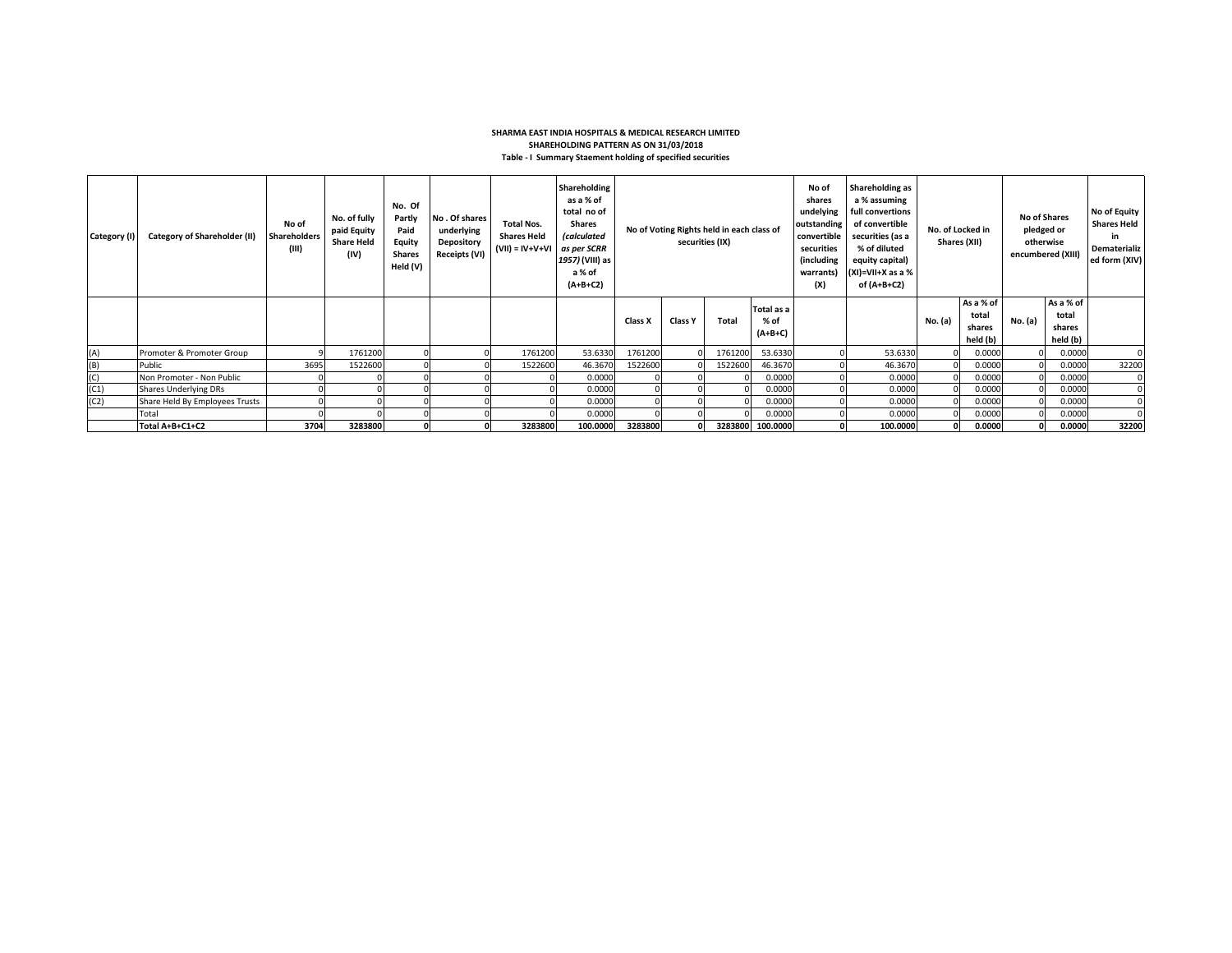## **SHARMA EAST INDIA HOSPITALS & MEDICAL RESEARCH LIMITED SHAREHOLDING PATTERN AS ON 31/03/2018 Table - I Summary Staement holding of specified securities**

| Category (I) | <b>Category of Shareholder (II)</b> | No of<br><b>Shareholders</b><br>(III) | No. of fully<br>paid Equity<br><b>Share Held</b><br>(IV) | No. Of<br>Partly<br>Paid<br>Equity<br><b>Shares</b><br>Held (V) | No. Of shares<br>underlying<br>Depository<br>Receipts (VI) | <b>Total Nos.</b><br><b>Shares Held</b><br>$(VII) = IV + V + VI$ | Shareholding<br>as a % of<br>total no of<br><b>Shares</b><br><i>(calculated</i><br>as per SCRR<br>1957) (VIII) as<br>a % of<br>$(A+B+C2)$ | No of Voting Rights held in each class of<br>securities (IX) |                |              | No of<br>shares<br>undelying<br>outstanding<br>convertible<br>securities<br>(including<br>warrants)<br>(X) | Shareholding as<br>a % assuming<br>full convertions<br>of convertible<br>securities (as a<br>% of diluted<br>equity capital)<br>$(XI)=VII+X$ as a %<br>of (A+B+C2) | No. of Locked in<br>Shares (XII) |         | <b>No of Shares</b><br>pledged or<br>otherwise<br>encumbered (XIII) |         | No of Equity<br><b>Shares Held</b><br>in.<br>Dematerializ<br>ed form (XIV) |          |
|--------------|-------------------------------------|---------------------------------------|----------------------------------------------------------|-----------------------------------------------------------------|------------------------------------------------------------|------------------------------------------------------------------|-------------------------------------------------------------------------------------------------------------------------------------------|--------------------------------------------------------------|----------------|--------------|------------------------------------------------------------------------------------------------------------|--------------------------------------------------------------------------------------------------------------------------------------------------------------------|----------------------------------|---------|---------------------------------------------------------------------|---------|----------------------------------------------------------------------------|----------|
|              |                                     |                                       |                                                          |                                                                 |                                                            |                                                                  |                                                                                                                                           | Class X                                                      | <b>Class Y</b> | <b>Total</b> | Total as a<br>% of<br>$(A+B+C)$                                                                            |                                                                                                                                                                    |                                  | No. (a) | As a % of<br>total<br>shares<br>held (b)                            | No. (a) | As a % of<br>total<br>shares<br>held (b)                                   |          |
| (A)          | Promoter & Promoter Group           |                                       | 1761200                                                  |                                                                 |                                                            | 1761200                                                          | 53.6330                                                                                                                                   | 1761200                                                      |                | 1761200      | 53.6330                                                                                                    |                                                                                                                                                                    | 53.6330                          |         | 0.0000                                                              |         | 0.0000                                                                     |          |
| (B)          | Public                              | 3695                                  | 1522600                                                  |                                                                 |                                                            | 1522600                                                          | 46.3670                                                                                                                                   | 1522600                                                      |                | 1522600      | 46.3670                                                                                                    |                                                                                                                                                                    | 46.3670                          |         | 0.0000                                                              |         | 0.0000                                                                     | 32200    |
| (C)          | Non Promoter - Non Public           |                                       |                                                          |                                                                 |                                                            |                                                                  | 0.0000                                                                                                                                    |                                                              |                |              | 0.0000                                                                                                     |                                                                                                                                                                    | 0.0000                           |         | 0.0000                                                              |         | 0.0000                                                                     | $\Omega$ |
| (C1)         | <b>Shares Underlying DRs</b>        |                                       |                                                          |                                                                 |                                                            |                                                                  | 0.0000                                                                                                                                    |                                                              |                |              | 0.0000                                                                                                     |                                                                                                                                                                    | 0.0000                           |         | 0.0000                                                              |         | 0.0000                                                                     |          |
| (C2)         | Share Held By Employees Trusts      |                                       |                                                          |                                                                 |                                                            |                                                                  | 0.0000                                                                                                                                    |                                                              |                |              | 0.0000                                                                                                     |                                                                                                                                                                    | 0.0000                           |         | 0.0000                                                              |         | 0.0000                                                                     |          |
|              | Total                               |                                       |                                                          |                                                                 |                                                            |                                                                  | 0.0000                                                                                                                                    |                                                              |                |              | 0.0000                                                                                                     |                                                                                                                                                                    | 0.0000                           |         | 0.0000                                                              |         | 0.0000                                                                     |          |
|              | Total A+B+C1+C2                     | 3704                                  | 3283800                                                  |                                                                 |                                                            | 3283800                                                          | 100.0000                                                                                                                                  | 3283800                                                      |                |              | 3283800 100.0000                                                                                           |                                                                                                                                                                    | 100.0000                         |         | 0.0000                                                              |         | 0.0000                                                                     | 32200    |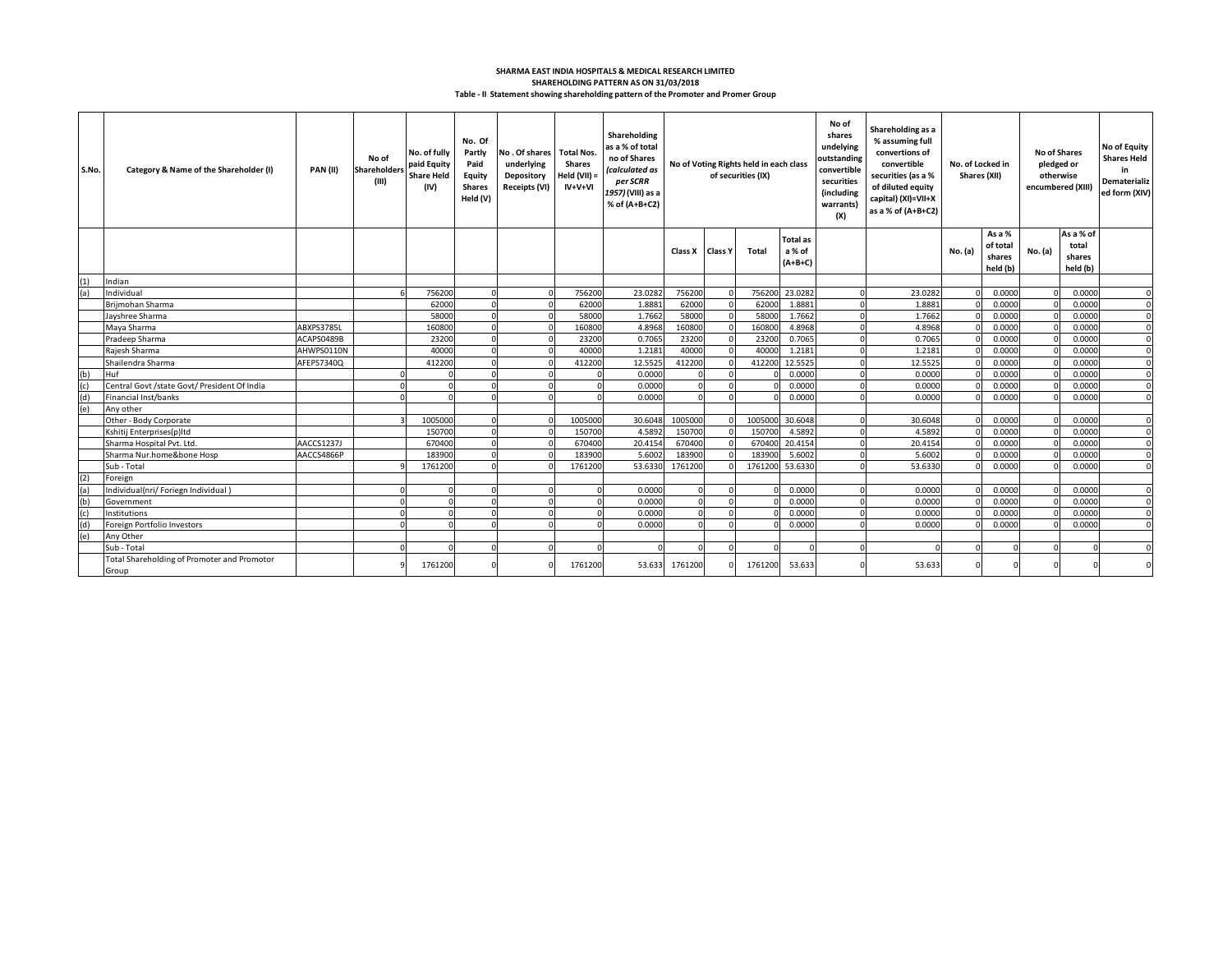## **SHAREHOLDING PATTERN AS ON 31/03/2018 SHARMA EAST INDIA HOSPITALS & MEDICAL RESEARCH LIMITED Table - II Statement showing shareholding pattern of the Promoter and Promer Group**

| S.No. | Category & Name of the Shareholder (I)               | PAN(II)    | No of<br>Shareholder:<br>(III) | No. of fully<br>paid Equity<br><b>Share Held</b><br>(IV) | No. Of<br>Partly<br>Paid<br>Equity<br><b>Shares</b><br>Held (V) | No. Of shares Total Nos.<br>underlying<br>Depository<br><b>Receipts (VI)</b> | Shares<br>Held (VII) =<br>$IV+V+VI$ | Shareholding<br>as a % of total<br>no of Shares<br>(calculated as<br>per SCRR<br>1957) (VIII) as a<br>% of (A+B+C2) | No of Voting Rights held in each class<br>of securities (IX) |                |         |                                        |  |         | No of<br>shares<br>undelying<br>outstanding<br>convertible<br>securities<br>(including<br>warrants)<br>(X) | Shareholding as a<br>% assuming full<br>convertions of<br>convertible<br>securities (as a %<br>of diluted equity<br>capital) (XI)=VII+X<br>as a % of (A+B+C2) |         | No. of Locked in<br>Shares (XII)         |          | <b>No of Shares</b><br>pledged or<br>otherwise<br>encumbered (XIII) | No of Equity<br><b>Shares Held</b><br>in<br>Dematerializ<br>ed form (XIV) |
|-------|------------------------------------------------------|------------|--------------------------------|----------------------------------------------------------|-----------------------------------------------------------------|------------------------------------------------------------------------------|-------------------------------------|---------------------------------------------------------------------------------------------------------------------|--------------------------------------------------------------|----------------|---------|----------------------------------------|--|---------|------------------------------------------------------------------------------------------------------------|---------------------------------------------------------------------------------------------------------------------------------------------------------------|---------|------------------------------------------|----------|---------------------------------------------------------------------|---------------------------------------------------------------------------|
|       |                                                      |            |                                |                                                          |                                                                 |                                                                              |                                     |                                                                                                                     | Class X                                                      | <b>Class Y</b> | Total   | <b>Total as</b><br>a % of<br>$(A+B+C)$ |  |         | No. (a)                                                                                                    | As a %<br>of total<br>shares<br>held (b)                                                                                                                      | No. (a) | As a % of<br>total<br>shares<br>held (b) |          |                                                                     |                                                                           |
| (1)   | Indian                                               |            |                                |                                                          |                                                                 |                                                                              |                                     |                                                                                                                     |                                                              |                |         |                                        |  |         |                                                                                                            |                                                                                                                                                               |         |                                          |          |                                                                     |                                                                           |
| (a)   | Individual                                           |            |                                | 756200                                                   |                                                                 |                                                                              | 756200                              | 23.0282                                                                                                             | 756200                                                       |                | 756200  | 23.0282                                |  | 23.0282 |                                                                                                            | 0.0000                                                                                                                                                        |         | 0.0000                                   | $\Omega$ |                                                                     |                                                                           |
|       | Briimohan Sharma                                     |            |                                | 62000                                                    |                                                                 |                                                                              | 62000                               | 1.8881                                                                                                              | 62000                                                        |                | 62000   | 1.8881                                 |  | 1.8881  |                                                                                                            | 0.0000                                                                                                                                                        |         | 0.0000                                   | $\Omega$ |                                                                     |                                                                           |
|       | Jayshree Sharma                                      |            |                                | 58000                                                    |                                                                 |                                                                              | 58000                               | 1.7662                                                                                                              | 58000                                                        |                | 58000   | 1.7662                                 |  | 1.7662  |                                                                                                            | 0.0000                                                                                                                                                        |         | 0.0000                                   | $\Omega$ |                                                                     |                                                                           |
|       | Maya Sharma                                          | ABXPS3785L |                                | 160800                                                   |                                                                 |                                                                              | 160800                              | 4.8968                                                                                                              | 160800                                                       |                | 16080   | 4.8968                                 |  | 4.8968  |                                                                                                            | 0.0000                                                                                                                                                        |         | 0.0000                                   | $\Omega$ |                                                                     |                                                                           |
|       | Pradeep Sharma                                       | ACAPS0489B |                                | 23200                                                    |                                                                 |                                                                              | 23200                               | 0.7065                                                                                                              | 23200                                                        |                | 2320    | 0.7065                                 |  | 0.7065  |                                                                                                            | 0.0000                                                                                                                                                        |         | 0.0000                                   | $\Omega$ |                                                                     |                                                                           |
|       | Raiesh Sharma                                        | AHWPS0110N |                                | 40000                                                    |                                                                 |                                                                              | 40000                               | 1.2181                                                                                                              | 40000                                                        |                | 4000    | 1.2181                                 |  | 1.2181  |                                                                                                            | 0.0000                                                                                                                                                        |         | 0.0000                                   | $\Omega$ |                                                                     |                                                                           |
|       | Shailendra Sharma                                    | AFEPS7340Q |                                | 412200                                                   |                                                                 |                                                                              | 412200                              | 12.5525                                                                                                             | 412200                                                       |                | 412200  | 12.5525                                |  | 12.5525 |                                                                                                            | 0.0000                                                                                                                                                        |         | 0.0000                                   | $\Omega$ |                                                                     |                                                                           |
| (b)   | Huf                                                  |            |                                |                                                          |                                                                 |                                                                              |                                     | 0.0000                                                                                                              |                                                              |                |         | 0.0000                                 |  | 0.0000  |                                                                                                            | 0.0000                                                                                                                                                        |         | 0.0000                                   | $\Omega$ |                                                                     |                                                                           |
| (c)   | Central Govt /state Govt/ President Of India         |            |                                |                                                          |                                                                 |                                                                              |                                     | 0.0000                                                                                                              |                                                              |                |         | 0.0000                                 |  | 0.0000  |                                                                                                            | 0.0000                                                                                                                                                        |         | 0.0000                                   |          |                                                                     |                                                                           |
| (d)   | Financial Inst/banks                                 |            |                                |                                                          |                                                                 |                                                                              |                                     | 0.0000                                                                                                              |                                                              |                |         | 0.0000                                 |  | 0.0000  |                                                                                                            | 0.0000                                                                                                                                                        |         | 0.0000                                   |          |                                                                     |                                                                           |
| (e)   | Any other                                            |            |                                |                                                          |                                                                 |                                                                              |                                     |                                                                                                                     |                                                              |                |         |                                        |  |         |                                                                                                            |                                                                                                                                                               |         |                                          |          |                                                                     |                                                                           |
|       | Other - Body Corporate                               |            |                                | 1005000                                                  |                                                                 |                                                                              | 1005000                             | 30.6048                                                                                                             | 1005000                                                      |                | 100500  | 30.6048                                |  | 30.6048 |                                                                                                            | 0.0000                                                                                                                                                        |         | 0.0000                                   |          |                                                                     |                                                                           |
|       | Kshitij Enterprises(p)Itd                            |            |                                | 150700                                                   |                                                                 |                                                                              | 150700                              | 4.5892                                                                                                              | 150700                                                       |                | 15070   | 4.5892                                 |  | 4.5892  |                                                                                                            | 0.0000                                                                                                                                                        |         | 0.0000                                   |          |                                                                     |                                                                           |
|       | Sharma Hospital Pvt. Ltd.                            | AACCS1237J |                                | 670400                                                   |                                                                 |                                                                              | 670400                              | 20.4154                                                                                                             | 670400                                                       |                | 67040   | 20.4154                                |  | 20.4154 |                                                                                                            | 0.0000                                                                                                                                                        |         | 0.0000                                   | $\Omega$ |                                                                     |                                                                           |
|       | Sharma Nur.home&bone Hosp                            | AACCS4866P |                                | 183900                                                   |                                                                 |                                                                              | 183900                              | 5.6002                                                                                                              | 183900                                                       |                | 18390   | 5.6002                                 |  | 5.6002  |                                                                                                            | 0.0000                                                                                                                                                        |         | 0.0000                                   | $\Omega$ |                                                                     |                                                                           |
|       | Sub - Total                                          |            |                                | 1761200                                                  |                                                                 |                                                                              | 1761200                             | 53.6330                                                                                                             | 1761200                                                      |                | 1761200 | 53.6330                                |  | 53.6330 |                                                                                                            | 0.0000                                                                                                                                                        |         | 0.0000                                   |          |                                                                     |                                                                           |
| (2)   | Foreign                                              |            |                                |                                                          |                                                                 |                                                                              |                                     |                                                                                                                     |                                                              |                |         |                                        |  |         |                                                                                                            |                                                                                                                                                               |         |                                          |          |                                                                     |                                                                           |
|       | Individual(nri/ Foriegn Individual)                  |            |                                |                                                          |                                                                 |                                                                              |                                     | 0.0000                                                                                                              |                                                              |                |         | 0.0000                                 |  | 0.0000  |                                                                                                            | 0.0000                                                                                                                                                        |         | 0.0000                                   | $\Omega$ |                                                                     |                                                                           |
| (b)   | Government                                           |            |                                |                                                          |                                                                 |                                                                              |                                     | 0.0000                                                                                                              |                                                              |                |         | 0.0000                                 |  | 0.0000  |                                                                                                            | 0.0000                                                                                                                                                        |         | 0.0000                                   |          |                                                                     |                                                                           |
| (c)   | Institutions                                         |            |                                |                                                          |                                                                 |                                                                              |                                     | 0.0000                                                                                                              |                                                              |                |         | 0.0000                                 |  | 0.0000  |                                                                                                            | 0.0000                                                                                                                                                        |         | 0.0000                                   |          |                                                                     |                                                                           |
|       | Foreign Portfolio Investors                          |            |                                |                                                          |                                                                 |                                                                              |                                     | 0.0000                                                                                                              |                                                              |                |         | 0.0000                                 |  | 0.0000  |                                                                                                            | 0.0000                                                                                                                                                        |         | 0.0000                                   |          |                                                                     |                                                                           |
| (e)   | Any Other                                            |            |                                |                                                          |                                                                 |                                                                              |                                     |                                                                                                                     |                                                              |                |         |                                        |  |         |                                                                                                            |                                                                                                                                                               |         |                                          |          |                                                                     |                                                                           |
|       | Sub - Total                                          |            |                                |                                                          |                                                                 |                                                                              |                                     |                                                                                                                     |                                                              |                |         |                                        |  |         |                                                                                                            |                                                                                                                                                               |         |                                          |          |                                                                     |                                                                           |
|       | Total Shareholding of Promoter and Promotor<br>Group |            |                                | 1761200                                                  |                                                                 |                                                                              | 1761200                             | 53.633                                                                                                              | 1761200                                                      |                | 1761200 | 53.633                                 |  | 53.633  | $\Omega$                                                                                                   |                                                                                                                                                               |         |                                          |          |                                                                     |                                                                           |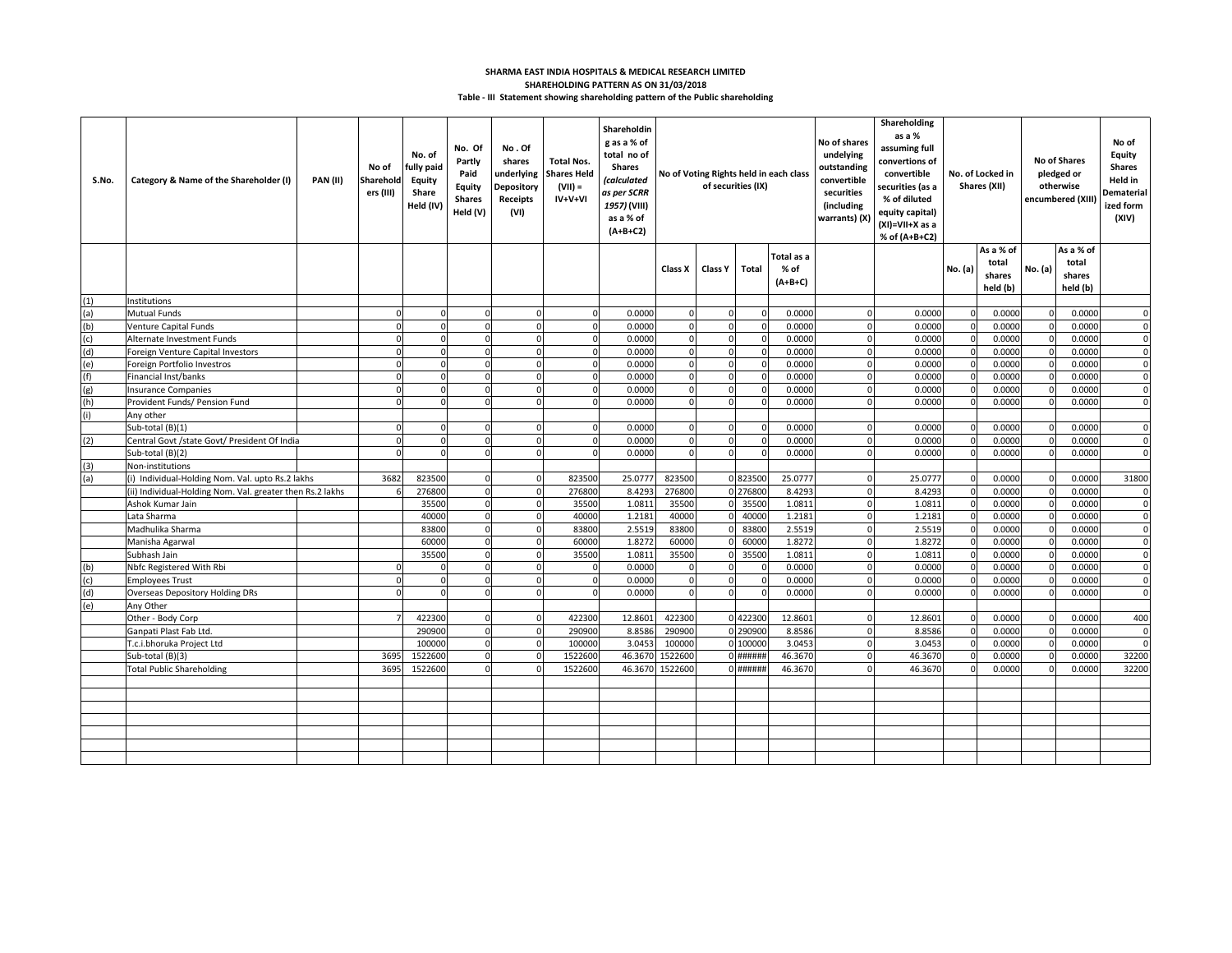## **SHARMA EAST INDIA HOSPITALS & MEDICAL RESEARCH LIMITED SHAREHOLDING PATTERN AS ON 31/03/2018 Table - III Statement showing shareholding pattern of the Public shareholding**

| S.No. | Category & Name of the Shareholder (I)                    | <b>PAN (II)</b> | No of<br>Sharehold<br>ers (III) | No. of<br>fully paid<br>Equity<br>Share<br>Held (IV) | No. Of<br>Partly<br>Paid<br>Equity<br><b>Shares</b><br>Held (V) | No.Of<br>shares<br>underlying<br>Depository<br>Receipts<br>(VI) | <b>Total Nos.</b><br><b>Shares Held</b><br>$(VII) =$<br>$IV+V+VI$ | Shareholdin<br>g as a % of<br>total no of<br><b>Shares</b><br>(calculated<br>as per SCRR<br>1957) (VIII)<br>as a % of<br>$(A+B+C2)$ | No of Voting Rights held in each class<br>of securities (IX) |          |                                   | No of shares<br>undelying<br>outstanding<br>convertible<br>securities<br>(including<br>warrants) (X) |             | Shareholding<br>as a %<br>assuming full<br>convertions of<br>convertible<br>securities (as a<br>% of diluted<br>equity capital)<br>(XI)=VII+X as a<br>% of (A+B+C2) | No. of Locked in<br>Shares (XII) |                                          | <b>No of Shares</b><br>pledged or<br>otherwise<br>encumbered (XIII |                                          | No of<br>Equity<br><b>Shares</b><br>Held in<br>Dematerial<br>ized form<br>(XIV) |
|-------|-----------------------------------------------------------|-----------------|---------------------------------|------------------------------------------------------|-----------------------------------------------------------------|-----------------------------------------------------------------|-------------------------------------------------------------------|-------------------------------------------------------------------------------------------------------------------------------------|--------------------------------------------------------------|----------|-----------------------------------|------------------------------------------------------------------------------------------------------|-------------|---------------------------------------------------------------------------------------------------------------------------------------------------------------------|----------------------------------|------------------------------------------|--------------------------------------------------------------------|------------------------------------------|---------------------------------------------------------------------------------|
|       |                                                           |                 |                                 |                                                      |                                                                 |                                                                 |                                                                   |                                                                                                                                     | Class X                                                      | Class Y  | Total                             | Total as a<br>% of<br>$(A+B+C)$                                                                      |             |                                                                                                                                                                     | No. (a)                          | As a % of<br>total<br>shares<br>held (b) | No. (a)                                                            | As a % of<br>total<br>shares<br>held (b) |                                                                                 |
| (1)   | nstitutions                                               |                 |                                 |                                                      |                                                                 |                                                                 |                                                                   |                                                                                                                                     |                                                              |          |                                   |                                                                                                      |             |                                                                                                                                                                     |                                  |                                          |                                                                    |                                          |                                                                                 |
| (a)   | <b>Mutual Funds</b>                                       |                 | $\Omega$                        |                                                      | $\Omega$                                                        | $\Omega$                                                        | $\Omega$                                                          | 0.0000                                                                                                                              | $\Omega$                                                     |          |                                   | 0.0000                                                                                               | $\Omega$    | 0.0000                                                                                                                                                              | $\Omega$                         | 0.0000                                   |                                                                    | 0.0000                                   | $\mathbf 0$                                                                     |
| (b)   | <b>Venture Capital Funds</b>                              |                 | $\Omega$                        | $\Omega$                                             | $\Omega$                                                        | $\Omega$                                                        | $\Omega$                                                          | 0.0000                                                                                                                              | $\Omega$                                                     | O        |                                   | 0.0000                                                                                               | $\Omega$    | 0.0000                                                                                                                                                              | $\mathbf{0}$                     | 0.0000                                   |                                                                    | 0.0000                                   | $\Omega$                                                                        |
| (c)   | Alternate Investment Funds                                |                 | $\Omega$                        | $\Omega$                                             | $\Omega$                                                        | $\Omega$                                                        | $\Omega$                                                          | 0.000C                                                                                                                              | $\mathbf 0$                                                  | $\Omega$ |                                   | 0.0000                                                                                               | $\Omega$    | 0.0000                                                                                                                                                              | $\Omega$                         | 0.0000                                   |                                                                    | 0.0000                                   | $\mathbf 0$                                                                     |
| (d)   | Foreign Venture Capital Investors                         |                 | $\Omega$                        | $\Omega$                                             | $\Omega$                                                        | $\Omega$                                                        | $\Omega$                                                          | 0.000C                                                                                                                              | $\overline{0}$                                               | $\Omega$ |                                   | 0.0000                                                                                               | $\Omega$    | 0.0000                                                                                                                                                              | $\mathbf{0}$                     | 0.0000                                   |                                                                    | 0.0000                                   | $\mathbf 0$                                                                     |
| (e)   | Foreign Portfolio Investros                               |                 | $\Omega$                        | $\Omega$                                             | $\Omega$                                                        | $\Omega$                                                        | $\Omega$                                                          | 0.000C                                                                                                                              | $\overline{0}$                                               | $\Omega$ |                                   | 0.0000                                                                                               | $\Omega$    | 0.0000                                                                                                                                                              | $\Omega$                         | 0.0000                                   | $\Omega$                                                           | 0.0000                                   | $\mathbf 0$                                                                     |
| (f)   | Financial Inst/banks                                      |                 | $\Omega$                        | $\Omega$                                             | $\Omega$                                                        | $\Omega$                                                        | $\Omega$                                                          | 0.000C                                                                                                                              | $\overline{0}$                                               | $\Omega$ |                                   | 0.0000                                                                                               | $\Omega$    | 0.0000                                                                                                                                                              | $\Omega$                         | 0.0000                                   | U                                                                  | 0.0000                                   | $\Omega$                                                                        |
| (g)   | <b>Insurance Companies</b>                                |                 | $\overline{0}$                  | $\Omega$                                             | $\overline{0}$                                                  | $\Omega$                                                        | $\Omega$                                                          | 0.000C                                                                                                                              | $\mathbf 0$                                                  | $\Omega$ |                                   | 0.0000                                                                                               | $\Omega$    | 0.0000                                                                                                                                                              | $\overline{0}$                   | 0.0000                                   |                                                                    | 0.0000                                   | $\mathbf 0$                                                                     |
| (h)   | Provident Funds/ Pension Fund                             |                 | $\Omega$                        |                                                      | $\Omega$                                                        | $\Omega$                                                        | $\Omega$                                                          | 0.0000                                                                                                                              | $\Omega$                                                     |          |                                   | 0.0000                                                                                               |             | 0.0000                                                                                                                                                              | $\Omega$                         | 0.0000                                   |                                                                    | 0.0000                                   | $\Omega$                                                                        |
| (i)   | Any other                                                 |                 |                                 |                                                      |                                                                 |                                                                 |                                                                   |                                                                                                                                     |                                                              |          |                                   |                                                                                                      |             |                                                                                                                                                                     |                                  |                                          |                                                                    |                                          |                                                                                 |
|       | Sub-total (B)(1)                                          |                 |                                 |                                                      | $\Omega$                                                        |                                                                 | O                                                                 | 0.000C                                                                                                                              | $\Omega$                                                     |          |                                   | 0.0000                                                                                               |             | 0.0000                                                                                                                                                              |                                  | 0.0000                                   |                                                                    | 0.0000                                   | $\Omega$                                                                        |
| (2)   | Central Govt /state Govt/ President Of India              |                 | $\Omega$                        | $\Omega$                                             | $\Omega$                                                        |                                                                 |                                                                   | 0.0000                                                                                                                              | $\Omega$                                                     |          |                                   | 0.0000                                                                                               |             | 0.0000                                                                                                                                                              | $\Omega$                         | 0.0000                                   |                                                                    | 0.0000                                   | $\mathbf 0$                                                                     |
|       | Sub-total (B)(2)                                          |                 |                                 |                                                      | $\Omega$                                                        | $\Omega$                                                        |                                                                   | 0.0000                                                                                                                              | $\Omega$                                                     |          |                                   | 0.0000                                                                                               |             | 0.0000                                                                                                                                                              |                                  | 0.0000                                   |                                                                    | 0.0000                                   | $\Omega$                                                                        |
| (3)   | Non-institutions                                          |                 |                                 |                                                      |                                                                 |                                                                 |                                                                   |                                                                                                                                     |                                                              |          |                                   |                                                                                                      |             |                                                                                                                                                                     |                                  |                                          |                                                                    |                                          |                                                                                 |
| (a)   | (i) Individual-Holding Nom. Val. upto Rs.2 lakhs          |                 | 3682                            | 823500                                               | $\Omega$                                                        | $\Omega$                                                        | 823500                                                            | 25.0777                                                                                                                             | 823500                                                       |          | 0823500                           | 25.0777                                                                                              | $\Omega$    | 25.0777                                                                                                                                                             | $\Omega$                         | 0.0000                                   |                                                                    | 0.0000                                   | 31800                                                                           |
|       | (ii) Individual-Holding Nom. Val. greater then Rs.2 lakhs |                 |                                 | 276800                                               | $\Omega$                                                        | $\Omega$                                                        | 276800                                                            | 8.4293                                                                                                                              | 276800                                                       |          | 0 276800                          | 8.4293                                                                                               | $\Omega$    | 8.4293                                                                                                                                                              | $\mathbf 0$                      | 0.0000                                   |                                                                    | 0.0000                                   | $\mathbf 0$                                                                     |
|       | Ashok Kumar Jain                                          |                 |                                 | 35500                                                | $\Omega$                                                        | $\Omega$                                                        | 35500                                                             | 1.0811                                                                                                                              | 35500                                                        |          | 35500                             | 1.0811                                                                                               | $\Omega$    | 1.0811                                                                                                                                                              | $\mathbf 0$                      | 0.0000                                   |                                                                    | 0.0000                                   | $\mathbf 0$                                                                     |
|       | Lata Sharma                                               |                 |                                 | 40000                                                | $\Omega$                                                        | $\Omega$                                                        | 40000                                                             | 1.2181                                                                                                                              | 40000                                                        |          | 40000                             | 1.2181                                                                                               | $\Omega$    | 1.2181                                                                                                                                                              | $\Omega$                         | 0.0000                                   | $\Omega$                                                           | 0.0000                                   | $\Omega$                                                                        |
|       | Madhulika Sharma                                          |                 |                                 | 83800                                                | $\mathbf{0}$                                                    | $\overline{0}$                                                  | 83800                                                             | 2.5519                                                                                                                              | 83800                                                        |          | 83800                             | 2.5519                                                                                               | $\Omega$    | 2.5519                                                                                                                                                              | $\Omega$                         | 0.0000                                   | $\Omega$                                                           | 0.0000                                   | $\mathbf 0$                                                                     |
|       | Manisha Agarwal                                           |                 |                                 | 60000                                                | $\overline{0}$                                                  | $\Omega$                                                        | 60000                                                             | 1.8272                                                                                                                              | 60000                                                        |          | 60000                             | 1.8272                                                                                               | $\Omega$    | 1.8272                                                                                                                                                              | $\Omega$                         | 0.0000                                   | $\Omega$                                                           | 0.0000                                   | $\Omega$                                                                        |
|       | Subhash Jain                                              |                 |                                 | 35500                                                | $\overline{0}$                                                  | $\overline{0}$                                                  | 35500                                                             | 1.0811                                                                                                                              | 35500                                                        |          | 35500                             | 1.0811                                                                                               | $\Omega$    | 1.0811                                                                                                                                                              | $\mathbf 0$                      | 0.0000                                   | n                                                                  | 0.0000                                   | $\mathbf 0$                                                                     |
| (b)   | Nbfc Registered With Rbi                                  |                 |                                 |                                                      | $\Omega$                                                        | $\Omega$                                                        | $\Omega$                                                          | 0.0000                                                                                                                              | $\sqrt{ }$                                                   |          |                                   | 0.0000                                                                                               |             | 0.0000                                                                                                                                                              | $\Omega$                         | 0.0000                                   |                                                                    | 0.0000                                   | $\Omega$                                                                        |
| (c)   | <b>Employees Trust</b>                                    |                 | $\Omega$                        | $\Omega$                                             | $\Omega$                                                        | $\Omega$                                                        | $\Omega$                                                          | 0.0000                                                                                                                              | $\Omega$                                                     |          |                                   | 0.0000                                                                                               |             | 0.0000                                                                                                                                                              |                                  | 0.0000                                   |                                                                    | 0.0000                                   | $\mathbf 0$                                                                     |
| (d)   | <b>Overseas Depository Holding DRs</b>                    |                 |                                 |                                                      | $\Omega$                                                        |                                                                 |                                                                   | 0.0000                                                                                                                              |                                                              |          |                                   | 0.0000                                                                                               |             | 0.0000                                                                                                                                                              |                                  | 0.0000                                   |                                                                    | 0.0000                                   | $\Omega$                                                                        |
| (e)   | Any Other                                                 |                 |                                 |                                                      |                                                                 |                                                                 |                                                                   |                                                                                                                                     |                                                              |          |                                   |                                                                                                      |             |                                                                                                                                                                     |                                  |                                          |                                                                    |                                          |                                                                                 |
|       | Other - Body Corp                                         |                 |                                 | 422300                                               | $\Omega$                                                        | $\Omega$                                                        | 422300                                                            | 12.8601                                                                                                                             | 422300                                                       |          | 0 422300                          | 12.8601                                                                                              | $\Omega$    | 12.8601                                                                                                                                                             | $\Omega$                         | 0.0000                                   |                                                                    | 0.0000                                   | 400                                                                             |
|       | Ganpati Plast Fab Ltd.                                    |                 |                                 | 290900                                               | $\overline{0}$                                                  | $\Omega$                                                        | 290900                                                            | 8.8586                                                                                                                              | 290900                                                       |          | 0 290900                          | 8.8586                                                                                               | $\mathbf 0$ | 8.8586                                                                                                                                                              | $\Omega$                         | 0.0000                                   |                                                                    | 0.0000                                   | $\mathbf 0$                                                                     |
|       | T.c.i.bhoruka Project Ltd                                 |                 |                                 | 100000                                               | $\Omega$                                                        | $\Omega$                                                        | 100000                                                            | 3.0453                                                                                                                              | 100000                                                       |          | 0 100000                          | 3.0453                                                                                               | $\Omega$    | 3.0453                                                                                                                                                              | $\Omega$                         | 0.0000                                   |                                                                    | 0.0000                                   | $\mathbf 0$                                                                     |
|       | Sub-total (B)(3)                                          |                 | 369                             | 1522600                                              | $\Omega$                                                        | $\Omega$                                                        | 1522600                                                           | 46.3670                                                                                                                             | 1522600                                                      |          | $0$ $\mu$ $\mu$ $\mu$ $\mu$ $\mu$ | 46.3670                                                                                              | $\Omega$    | 46.3670                                                                                                                                                             | $\Omega$                         | 0.0000                                   | $\Omega$                                                           | 0.0000                                   | 32200                                                                           |
|       | <b>Total Public Shareholding</b>                          |                 | 3695                            | 1522600                                              | $\Omega$                                                        | n                                                               | 1522600                                                           | 46.3670                                                                                                                             | 1522600                                                      |          | $0$ ######                        | 46.3670                                                                                              | $\Omega$    | 46.3670                                                                                                                                                             | $\Omega$                         | 0.0000                                   | $\Omega$                                                           | 0.0000                                   | 32200                                                                           |
|       |                                                           |                 |                                 |                                                      |                                                                 |                                                                 |                                                                   |                                                                                                                                     |                                                              |          |                                   |                                                                                                      |             |                                                                                                                                                                     |                                  |                                          |                                                                    |                                          |                                                                                 |
|       |                                                           |                 |                                 |                                                      |                                                                 |                                                                 |                                                                   |                                                                                                                                     |                                                              |          |                                   |                                                                                                      |             |                                                                                                                                                                     |                                  |                                          |                                                                    |                                          |                                                                                 |
|       |                                                           |                 |                                 |                                                      |                                                                 |                                                                 |                                                                   |                                                                                                                                     |                                                              |          |                                   |                                                                                                      |             |                                                                                                                                                                     |                                  |                                          |                                                                    |                                          |                                                                                 |
|       |                                                           |                 |                                 |                                                      |                                                                 |                                                                 |                                                                   |                                                                                                                                     |                                                              |          |                                   |                                                                                                      |             |                                                                                                                                                                     |                                  |                                          |                                                                    |                                          |                                                                                 |
|       |                                                           |                 |                                 |                                                      |                                                                 |                                                                 |                                                                   |                                                                                                                                     |                                                              |          |                                   |                                                                                                      |             |                                                                                                                                                                     |                                  |                                          |                                                                    |                                          |                                                                                 |
|       |                                                           |                 |                                 |                                                      |                                                                 |                                                                 |                                                                   |                                                                                                                                     |                                                              |          |                                   |                                                                                                      |             |                                                                                                                                                                     |                                  |                                          |                                                                    |                                          |                                                                                 |
|       |                                                           |                 |                                 |                                                      |                                                                 |                                                                 |                                                                   |                                                                                                                                     |                                                              |          |                                   |                                                                                                      |             |                                                                                                                                                                     |                                  |                                          |                                                                    |                                          |                                                                                 |